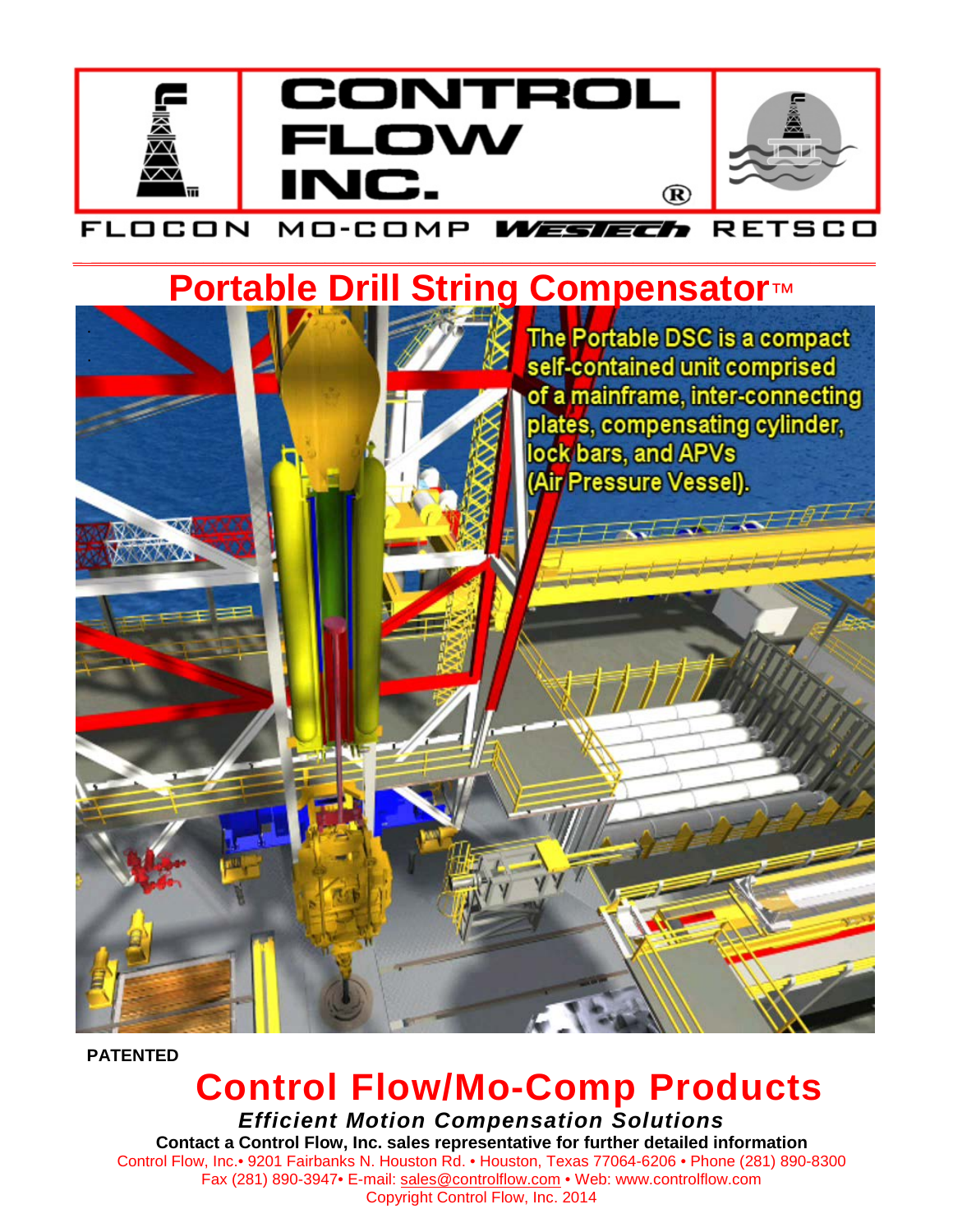

#### WESTECh RETSCO FLOCON MO-COMP \_ \_\_\_\_\_\_\_\_\_\_\_\_\_\_\_\_\_\_\_\_\_\_\_\_\_\_\_\_\_\_\_\_\_\_\_\_\_\_\_\_\_\_\_\_\_\_\_\_\_\_\_\_\_\_\_\_\_\_\_\_\_\_\_\_\_\_\_\_\_\_\_\_\_\_\_\_\_\_\_\_\_\_\_\_

# **Portable Drill String Compensator**™



**PATENTED**

## **Control Flow/Mo-Comp Products**

*Efficient Motion Compensation Solutions* **Contact a Control Flow, Inc. sales representative for further detailed information** Control Flow, Inc.• 9201 Fairbanks N. Houston Rd. • Houston, Texas 77064-6206 • Phone (281) 890-8300 Fax (281) 890-3947• E-mail: [sales@controlflow.com](mailto:sales@controlflow.com) • Web: www.controlflow.com Copyright Control Flow, Inc. 2014